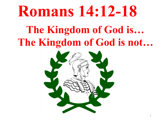## **Romans 14:12-18**

## **The Kingdom of God is… The Kingdom of God is not…**

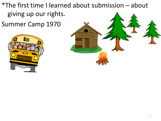\*The first time I learned about submission  $-$  about giving up our rights.

Summer Camp 1970



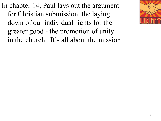In chapter 14, Paul lays out the argument for Christian submission, the laying down of our individual rights for the greater good - the promotion of unity in the church. It's all about the mission!

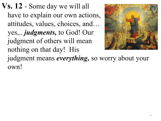**Vs. 12** - Some day we will all have to explain our own actions, attitudes, values, choices, and… yes,.. *judgments,* to God! Our judgment of others will mean nothing on that day! His judgment means *everything,* so worry about your own!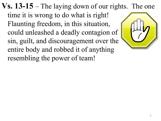**Vs. 13-15** – The laying down of our rights. The one time it is wrong to do what is right! Flaunting freedom, in this situation, could unleashed a deadly contagion of sin, guilt, and discouragement over the entire body and robbed it of anything resembling the power of team!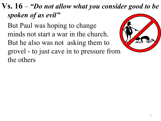## **Vs. 16** – *"Do not allow what you consider good to be spoken of as evil"*

But Paul was hoping to change minds not start a war in the church. But he also was not asking them to grovel - to just cave in to pressure from the others

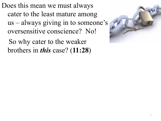Does this mean we must always cater to the least mature among us – always giving in to someone's oversensitive conscience? No!

So why cater to the weaker brothers in *this* case? (**11:28**)

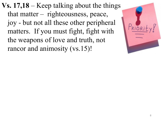**Vs. 17,18** – Keep talking about the things that matter – righteousness, peace, joy - but not all these other peripheral matters. If you must fight, fight with the weapons of love and truth, not rancor and animosity (vs.15)!

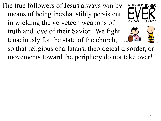The true followers of Jesus always win by means of being inexhaustibly persistent in wielding the velveteen weapons of truth and love of their Savior. We fight tenaciously for the state of the church,



**NEVERF** 

so that religious charlatans, theological disorder, or movements toward the periphery do not take over!